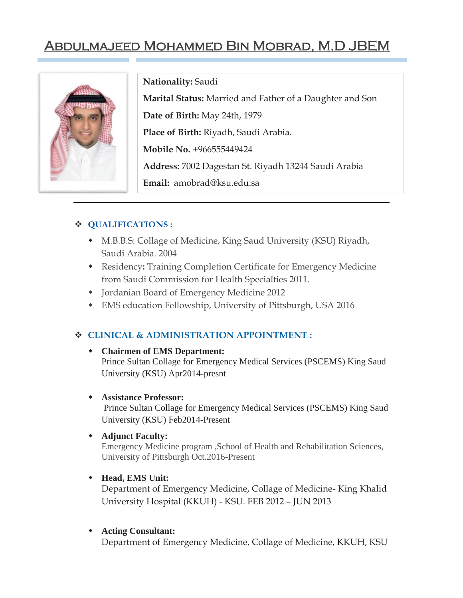# Abdulmajeed Mohammed Bin Mobrad, M.D JBEM



**Nationality:** Saudi

**Marital Status:** Married and Father of a Daughter and Son **Date of Birth:** May 24th, 1979 **Place of Birth:** Riyadh, Saudi Arabia. **Mobile No.** +966555449424 **Address:** 7002 Dagestan St. Riyadh 13244 Saudi Arabia **Email:** amobrad@ksu.edu.sa

## **QUALIFICATIONS :**

- M.B.B.S: Collage of Medicine, King Saud University (KSU) Riyadh, Saudi Arabia. 2004
- Residency**:** Training Completion Certificate for Emergency Medicine from Saudi Commission for Health Specialties 2011.
- Jordanian Board of Emergency Medicine 2012
- EMS education Fellowship, University of Pittsburgh, USA 2016

# **CLINICAL & ADMINISTRATION APPOINTMENT :**

#### **Chairmen of EMS Department:**

Prince Sultan Collage for Emergency Medical Services (PSCEMS) King Saud University (KSU) Apr2014-presnt

#### **Assistance Professor:**

Prince Sultan Collage for Emergency Medical Services (PSCEMS) King Saud University (KSU) Feb2014-Present

#### **Adjunct Faculty:**

Emergency Medicine program ,School of Health and Rehabilitation Sciences, University of Pittsburgh Oct.2016-Present

#### **Head, EMS Unit:**

Department of Emergency Medicine, Collage of Medicine- King Khalid University Hospital (KKUH) - KSU. FEB 2012 – JUN 2013

#### **Acting Consultant:**

Department of Emergency Medicine, Collage of Medicine, KKUH, KSU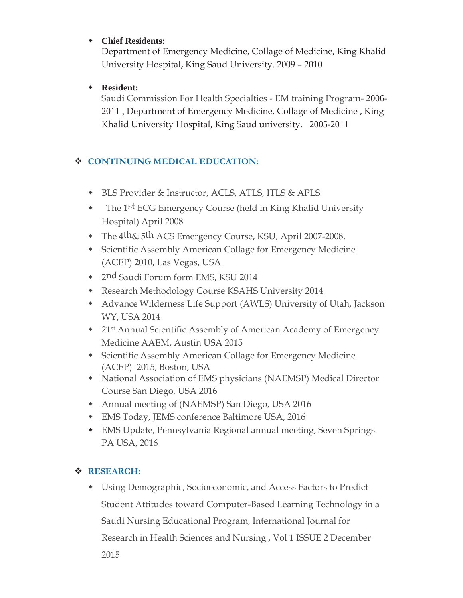## **Chief Residents:**

Department of Emergency Medicine, Collage of Medicine, King Khalid University Hospital, King Saud University. 2009 – 2010

## **Resident:**

Saudi Commission For Health Specialties - EM training Program- 2006- 2011 , Department of Emergency Medicine, Collage of Medicine , King Khalid University Hospital, King Saud university. 2005-2011

# **CONTINUING MEDICAL EDUCATION:**

- BLS Provider & Instructor, ACLS, ATLS, ITLS & APLS
- The 1st ECG Emergency Course (held in King Khalid University Hospital) April 2008
- The 4th& 5th ACS Emergency Course, KSU, April 2007-2008.
- Scientific Assembly American Collage for Emergency Medicine (ACEP) 2010, Las Vegas, USA
- 2nd Saudi Forum form EMS, KSU 2014
- Research Methodology Course KSAHS University 2014
- Advance Wilderness Life Support (AWLS) University of Utah, Jackson WY, USA 2014
- 21st Annual Scientific Assembly of American Academy of Emergency Medicine AAEM, Austin USA 2015
- Scientific Assembly American Collage for Emergency Medicine (ACEP) 2015, Boston, USA
- National Association of EMS physicians (NAEMSP) Medical Director Course San Diego, USA 2016
- Annual meeting of (NAEMSP) San Diego, USA 2016
- EMS Today, JEMS conference Baltimore USA, 2016
- EMS Update, Pennsylvania Regional annual meeting, Seven Springs PA USA, 2016

# **RESEARCH:**

 Using Demographic, Socioeconomic, and Access Factors to Predict Student Attitudes toward Computer-Based Learning Technology in a Saudi Nursing Educational Program, International Journal for Research in Health Sciences and Nursing , Vol 1 ISSUE 2 December 2015